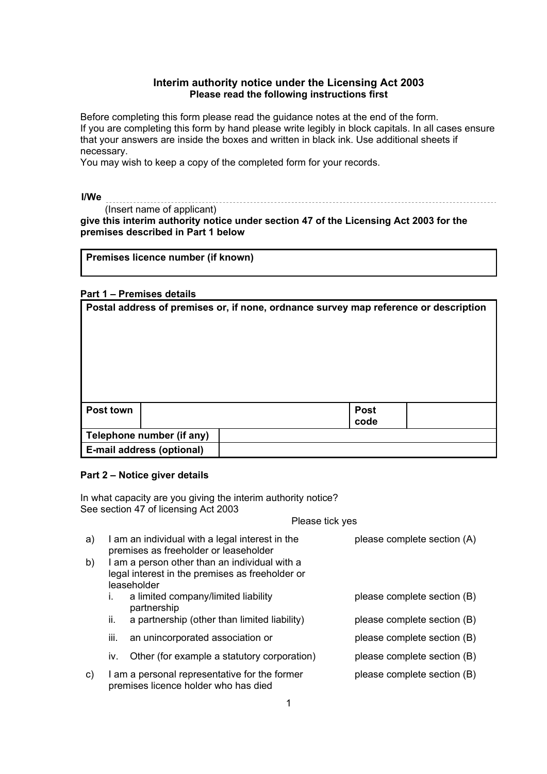## **Interim authority notice under the Licensing Act 2003 Please read the following instructions first**

 Before completing this form please read the guidance notes at the end of the form. If you are completing this form by hand please write legibly in block capitals. In all cases ensure that your answers are inside the boxes and written in black ink. Use additional sheets if necessary.

You may wish to keep a copy of the completed form for your records.

**I/We**

 (Insert name of applicant) **give this interim authority notice under section 47 of the Licensing Act 2003 for the premises described in Part 1 below** 

|  |  |  | Premises licence number (if known) |
|--|--|--|------------------------------------|
|--|--|--|------------------------------------|

# **Part 1 – Premises details**

|           |                           | Postal address of premises or, if none, ordnance survey map reference or description |                     |
|-----------|---------------------------|--------------------------------------------------------------------------------------|---------------------|
| Post town |                           |                                                                                      | <b>Post</b><br>code |
|           | Telephone number (if any) |                                                                                      |                     |
|           | E-mail address (optional) |                                                                                      |                     |

# **Part 2 – Notice giver details**

In what capacity are you giving the interim authority notice? See section 47 of licensing Act 2003

Please tick yes

| a) |      | I am an individual with a legal interest in the<br>premises as freeholder or leaseholder | please complete section (A) |
|----|------|------------------------------------------------------------------------------------------|-----------------------------|
| b) |      | I am a person other than an individual with a                                            |                             |
|    |      | legal interest in the premises as freeholder or<br>leaseholder                           |                             |
|    | İ.   | a limited company/limited liability<br>partnership                                       | please complete section (B) |
|    | ii.  | a partnership (other than limited liability)                                             | please complete section (B) |
|    | III. | an unincorporated association or                                                         | please complete section (B) |
|    | IV.  | Other (for example a statutory corporation)                                              | please complete section (B) |
| C) |      | I am a personal representative for the former<br>premises licence holder who has died    | please complete section (B) |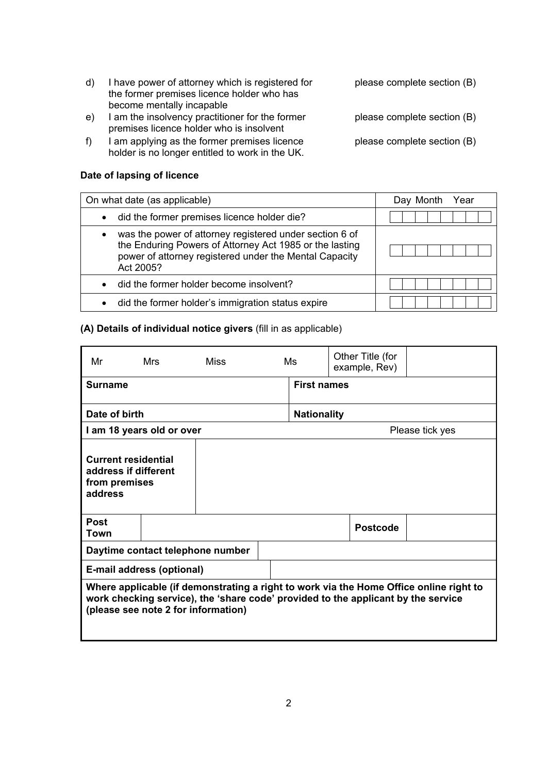| d) | I have power of attorney which is registered for | please comple |
|----|--------------------------------------------------|---------------|
|    | the former premises licence holder who has       |               |
|    | become mentally incapable                        |               |

- e) I am the insolvency practitioner for the former please complete section (B) premises licence holder who is insolvent
- f) I am applying as the former premises licence please complete section (B) holder is no longer entitled to work in the UK.

## **Date of lapsing of licence**

| On what date (as applicable)                                                                                                                                                              | Day Month Year |
|-------------------------------------------------------------------------------------------------------------------------------------------------------------------------------------------|----------------|
| did the former premises licence holder die?                                                                                                                                               |                |
| was the power of attorney registered under section 6 of<br>the Enduring Powers of Attorney Act 1985 or the lasting<br>power of attorney registered under the Mental Capacity<br>Act 2005? |                |
| did the former holder become insolvent?                                                                                                                                                   |                |
| did the former holder's immigration status expire<br>$\bullet$                                                                                                                            |                |

## **(A) Details of individual notice givers** (fill in as applicable)

| Mr                                                                                                                                                                                                                 | Mrs                              | Miss<br>Ms |  |                    | Other Title (for<br>example, Rev) |                 |
|--------------------------------------------------------------------------------------------------------------------------------------------------------------------------------------------------------------------|----------------------------------|------------|--|--------------------|-----------------------------------|-----------------|
| <b>Surname</b>                                                                                                                                                                                                     |                                  |            |  | <b>First names</b> |                                   |                 |
| Date of birth                                                                                                                                                                                                      |                                  |            |  | <b>Nationality</b> |                                   |                 |
|                                                                                                                                                                                                                    | I am 18 years old or over        |            |  |                    |                                   | Please tick yes |
| <b>Current residential</b><br>address if different<br>from premises<br>address                                                                                                                                     |                                  |            |  |                    |                                   |                 |
| <b>Post</b><br>Town                                                                                                                                                                                                |                                  |            |  |                    | <b>Postcode</b>                   |                 |
|                                                                                                                                                                                                                    | Daytime contact telephone number |            |  |                    |                                   |                 |
|                                                                                                                                                                                                                    | E-mail address (optional)        |            |  |                    |                                   |                 |
| Where applicable (if demonstrating a right to work via the Home Office online right to<br>work checking service), the 'share code' provided to the applicant by the service<br>(please see note 2 for information) |                                  |            |  |                    |                                   |                 |

- ete section (B)
- 
-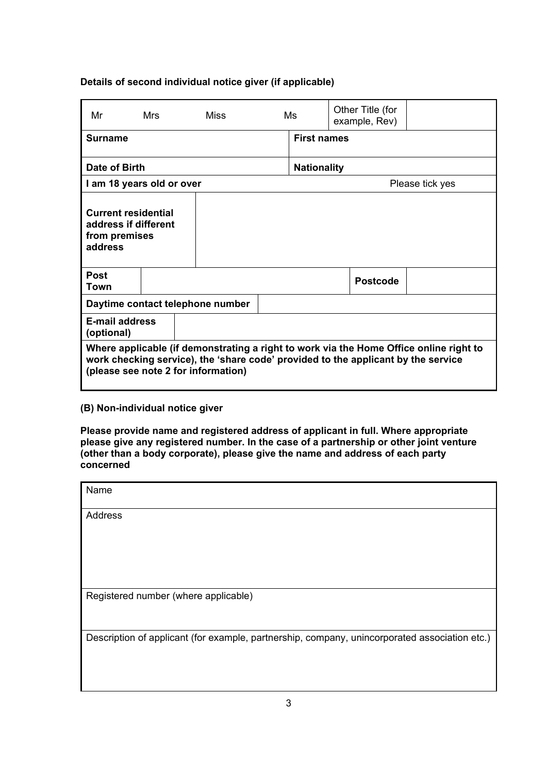# **Details of second individual notice giver (if applicable)**

| Mr                                                                                                                                                                                                                 | <b>Mrs</b> | <b>Miss</b>                      |                    | Ms                 | Other Title (for<br>example, Rev) |                 |
|--------------------------------------------------------------------------------------------------------------------------------------------------------------------------------------------------------------------|------------|----------------------------------|--------------------|--------------------|-----------------------------------|-----------------|
| <b>Surname</b>                                                                                                                                                                                                     |            |                                  |                    | <b>First names</b> |                                   |                 |
| Date of Birth                                                                                                                                                                                                      |            |                                  | <b>Nationality</b> |                    |                                   |                 |
| I am 18 years old or over                                                                                                                                                                                          |            |                                  |                    |                    |                                   | Please tick yes |
| <b>Current residential</b><br>address if different<br>from premises<br>address                                                                                                                                     |            |                                  |                    |                    |                                   |                 |
| <b>Post</b><br>Town                                                                                                                                                                                                |            |                                  |                    |                    | <b>Postcode</b>                   |                 |
|                                                                                                                                                                                                                    |            | Daytime contact telephone number |                    |                    |                                   |                 |
| E-mail address<br>(optional)                                                                                                                                                                                       |            |                                  |                    |                    |                                   |                 |
| Where applicable (if demonstrating a right to work via the Home Office online right to<br>work checking service), the 'share code' provided to the applicant by the service<br>(please see note 2 for information) |            |                                  |                    |                    |                                   |                 |

# **(B) Non-individual notice giver**

**Please provide name and registered address of applicant in full. Where appropriate please give any registered number. In the case of a partnership or other joint venture (other than a body corporate), please give the name and address of each party concerned** 

| Name                                                                                          |
|-----------------------------------------------------------------------------------------------|
| <b>Address</b>                                                                                |
|                                                                                               |
|                                                                                               |
|                                                                                               |
| Registered number (where applicable)                                                          |
|                                                                                               |
| Description of applicant (for example, partnership, company, unincorporated association etc.) |
|                                                                                               |
|                                                                                               |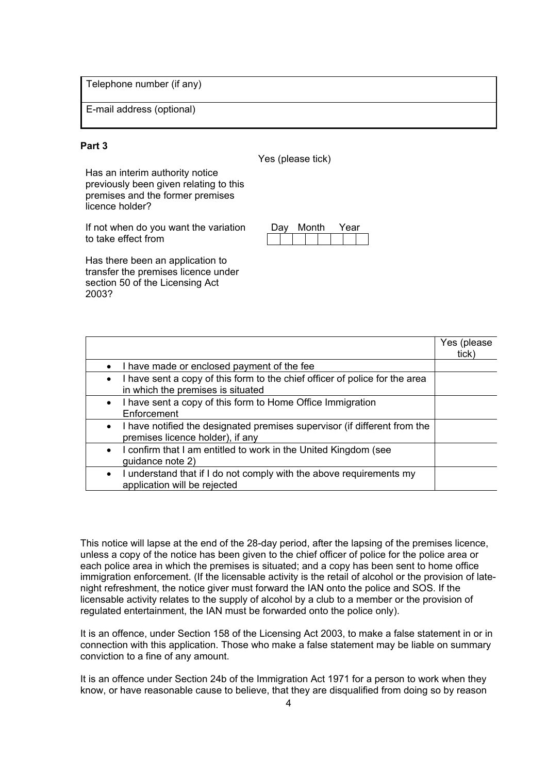Telephone number (if any)

E-mail address (optional)

## **Part 3**

Yes (please tick)

Has an interim authority notice previously been given relating to this premises and the former premises licence holder?

If not when do you want the variation to take effect from

 Has there been an application to transfer the premises licence under section 50 of the Licensing Act 2003?

Day Month Year

|                                                                                                                               | Yes (please<br>tick) |
|-------------------------------------------------------------------------------------------------------------------------------|----------------------|
| I have made or enclosed payment of the fee                                                                                    |                      |
| I have sent a copy of this form to the chief officer of police for the area<br>$\bullet$<br>in which the premises is situated |                      |
| • I have sent a copy of this form to Home Office Immigration<br>Enforcement                                                   |                      |
| I have notified the designated premises supervisor (if different from the<br>$\bullet$<br>premises licence holder), if any    |                      |
| I confirm that I am entitled to work in the United Kingdom (see<br>guidance note 2)                                           |                      |
| I understand that if I do not comply with the above requirements my<br>$\bullet$<br>application will be rejected              |                      |

 licensable activity relates to the supply of alcohol by a club to a member or the provision of This notice will lapse at the end of the 28-day period, after the lapsing of the premises licence, unless a copy of the notice has been given to the chief officer of police for the police area or each police area in which the premises is situated; and a copy has been sent to home office immigration enforcement. (If the licensable activity is the retail of alcohol or the provision of latenight refreshment, the notice giver must forward the IAN onto the police and SOS. If the regulated entertainment, the IAN must be forwarded onto the police only).

 conviction to a fine of any amount. It is an offence, under Section 158 of the Licensing Act 2003, to make a false statement in or in connection with this application. Those who make a false statement may be liable on summary

 It is an offence under Section 24b of the Immigration Act 1971 for a person to work when they know, or have reasonable cause to believe, that they are disqualified from doing so by reason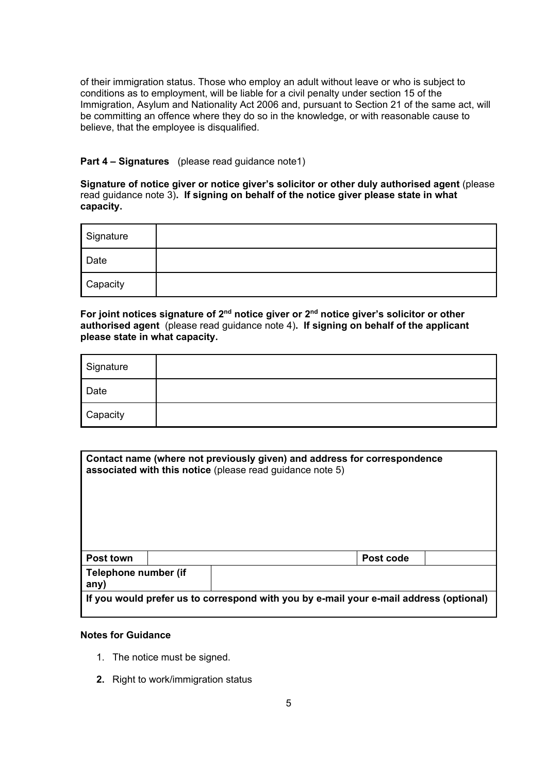of their immigration status. Those who employ an adult without leave or who is subject to conditions as to employment, will be liable for a civil penalty under section 15 of the Immigration, Asylum and Nationality Act 2006 and, pursuant to Section 21 of the same act, will be committing an offence where they do so in the knowledge, or with reasonable cause to believe, that the employee is disqualified.

## **Part 4 – Signatures** (please read guidance note1)

**Signature of notice giver or notice giver's solicitor or other duly authorised agent** (please read guidance note 3)**. If signing on behalf of the notice giver please state in what capacity.** 

| Signature |  |
|-----------|--|
| Date      |  |
| Capacity  |  |

**For joint notices signature of 2nd notice giver or 2nd notice giver's solicitor or other authorised agent** (please read guidance note 4)**. If signing on behalf of the applicant please state in what capacity.** 

| Signature |  |
|-----------|--|
| Date      |  |
| Capacity  |  |

|                              | Contact name (where not previously given) and address for correspondence<br>associated with this notice (please read guidance note 5) |
|------------------------------|---------------------------------------------------------------------------------------------------------------------------------------|
| Post town                    | Post code                                                                                                                             |
| Telephone number (if<br>any) |                                                                                                                                       |
|                              | If you would prefer us to correspond with you by e-mail your e-mail address (optional)                                                |

#### **Notes for Guidance**

- 1. The notice must be signed.
- **2.** Right to work/immigration status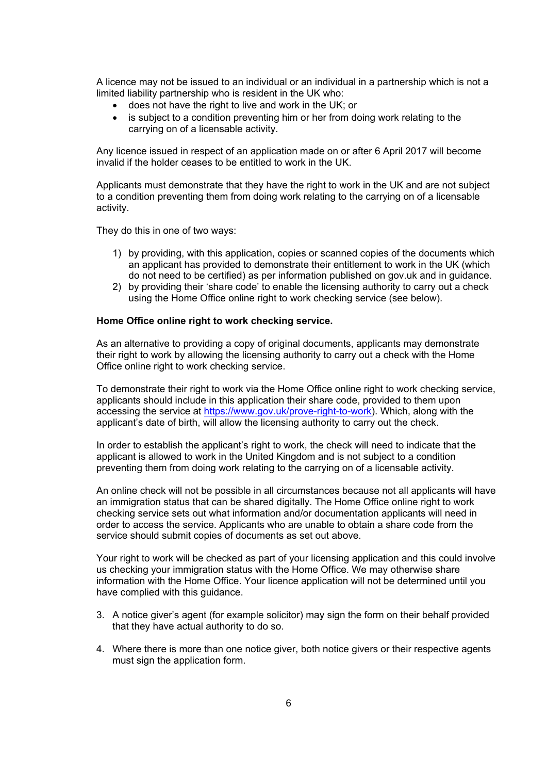A licence may not be issued to an individual or an individual in a partnership which is not a limited liability partnership who is resident in the UK who:

- does not have the right to live and work in the UK; or
- is subject to a condition preventing him or her from doing work relating to the carrying on of a licensable activity.

Any licence issued in respect of an application made on or after 6 April 2017 will become invalid if the holder ceases to be entitled to work in the UK.

Applicants must demonstrate that they have the right to work in the UK and are not subject to a condition preventing them from doing work relating to the carrying on of a licensable activity.

They do this in one of two ways:

- 1) by providing, with this application, copies or scanned copies of the documents which an applicant has provided to demonstrate their entitlement to work in the UK (which do not need to be certified) as per information published on gov.uk and in guidance.
- using the Home Office online right to work checking service (see below). 2) by providing their 'share code' to enable the licensing authority to carry out a check

## **Home Office online right to work checking service.**

 As an alternative to providing a copy of original documents, applicants may demonstrate their right to work by allowing the licensing authority to carry out a check with the Home Office online right to work checking service.

 applicant's date of birth, will allow the licensing authority to carry out the check. To demonstrate their right to work via the Home Office online right to work checking service, applicants should include in this application their share code, provided to them upon accessing the service at https://www.gov.uk/prove-right-to-work). Which, along with the

In order to establish the applicant's right to work, the check will need to indicate that the applicant is allowed to work in the United Kingdom and is not subject to a condition preventing them from doing work relating to the carrying on of a licensable activity.

service should submit copies of documents as set out above. An online check will not be possible in all circumstances because not all applicants will have an immigration status that can be shared digitally. The Home Office online right to work checking service sets out what information and/or documentation applicants will need in order to access the service. Applicants who are unable to obtain a share code from the

Your right to work will be checked as part of your licensing application and this could involve us checking your immigration status with the Home Office. We may otherwise share information with the Home Office. Your licence application will not be determined until you have complied with this guidance.

- 3. A notice giver's agent (for example solicitor) may sign the form on their behalf provided that they have actual authority to do so.
- 4. Where there is more than one notice giver, both notice givers or their respective agents must sign the application form.